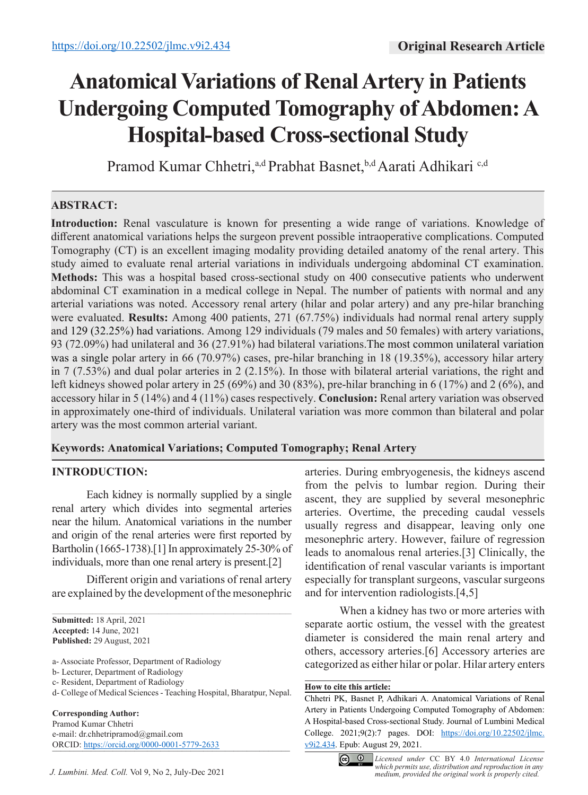# **Anatomical Variations of Renal Artery in Patients Undergoing Computed Tomography of Abdomen: A Hospital-based Cross-sectional Study**

Pramod Kumar Chhetri,<sup>a,d</sup> Prabhat Basnet,<sup>b,d</sup> Aarati Adhikari c,d

# **ABSTRACT:**

**Introduction:** Renal vasculature is known for presenting a wide range of variations. Knowledge of different anatomical variations helps the surgeon prevent possible intraoperative complications. Computed Tomography (CT) is an excellent imaging modality providing detailed anatomy of the renal artery. This study aimed to evaluate renal arterial variations in individuals undergoing abdominal CT examination. **Methods:** This was a hospital based cross-sectional study on 400 consecutive patients who underwent abdominal CT examination in a medical college in Nepal. The number of patients with normal and any arterial variations was noted. Accessory renal artery (hilar and polar artery) and any pre-hilar branching were evaluated. **Results:** Among 400 patients, 271 (67.75%) individuals had normal renal artery supply and 129 (32.25%) had variations. Among 129 individuals (79 males and 50 females) with artery variations, 93 (72.09%) had unilateral and 36 (27.91%) had bilateral variations.The most common unilateral variation was a single polar artery in 66 (70.97%) cases, pre-hilar branching in 18 (19.35%), accessory hilar artery in 7 (7.53%) and dual polar arteries in 2 (2.15%). In those with bilateral arterial variations, the right and left kidneys showed polar artery in 25 (69%) and 30 (83%), pre-hilar branching in 6 (17%) and 2 (6%), and accessory hilar in 5 (14%) and 4 (11%) cases respectively. **Conclusion:** Renal artery variation was observed in approximately one-third of individuals. Unilateral variation was more common than bilateral and polar artery was the most common arterial variant.

# **Keywords: Anatomical Variations; Computed Tomography; Renal Artery**

# **INTRODUCTION:**

Each kidney is normally supplied by a single renal artery which divides into segmental arteries near the hilum. Anatomical variations in the number and origin of the renal arteries were first reported by Bartholin (1665-1738).[1] In approximately 25-30% of individuals, more than one renal artery is present.[2]

Different origin and variations of renal artery are explained by the development of the mesonephric

 $\mathcal{L}_\mathcal{L} = \mathcal{L}_\mathcal{L} = \mathcal{L}_\mathcal{L} = \mathcal{L}_\mathcal{L} = \mathcal{L}_\mathcal{L} = \mathcal{L}_\mathcal{L} = \mathcal{L}_\mathcal{L} = \mathcal{L}_\mathcal{L} = \mathcal{L}_\mathcal{L} = \mathcal{L}_\mathcal{L} = \mathcal{L}_\mathcal{L} = \mathcal{L}_\mathcal{L} = \mathcal{L}_\mathcal{L} = \mathcal{L}_\mathcal{L} = \mathcal{L}_\mathcal{L} = \mathcal{L}_\mathcal{L} = \mathcal{L}_\mathcal{L}$ 

**Corresponding Author:** Pramod Kumar Chhetri e-mail: dr.chhetripramod@gmail.com ORCID: https://orcid.org/0000-0001-5779-2633 arteries. During embryogenesis, the kidneys ascend from the pelvis to lumbar region. During their ascent, they are supplied by several mesonephric arteries. Overtime, the preceding caudal vessels usually regress and disappear, leaving only one mesonephric artery. However, failure of regression leads to anomalous renal arteries.[3] Clinically, the identification of renal vascular variants is important especially for transplant surgeons, vascular surgeons and for intervention radiologists.[4,5]

When a kidney has two or more arteries with separate aortic ostium, the vessel with the greatest diameter is considered the main renal artery and others, accessory arteries.[6] Accessory arteries are categorized as either hilar or polar. Hilar artery enters

#### **How to cite this article:**

Chhetri PK, Basnet P, Adhikari A. Anatomical Variations of Renal Artery in Patients Undergoing Computed Tomography of Abdomen: A Hospital-based Cross-sectional Study. Journal of Lumbini Medical College. 2021;9(2):7 pages. DOI: https://doi.org/10.22502/jlmc. v9i2.434. Epub: August 29, 2021.



*medium, provided the original work is properly cited. Licensed under* CC BY 4.0 *International License which permits use, distribution and reproduction in any* 

**Submitted:** 18 April, 2021 **Accepted:** 14 June, 2021 **Published:** 29 August, 2021

a- Associate Professor, Department of Radiology

b- Lecturer, Department of Radiology

c- Resident, Department of Radiology

d- College of Medical Sciences - Teaching Hospital, Bharatpur, Nepal.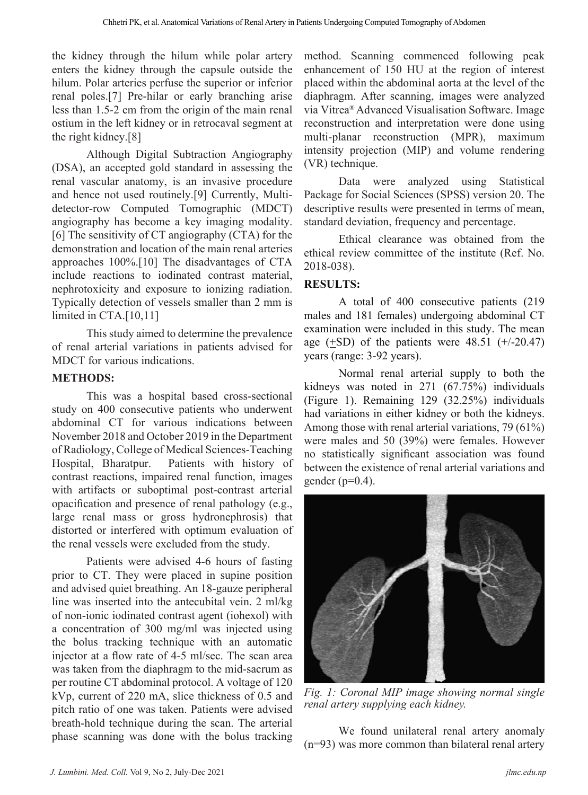the kidney through the hilum while polar artery enters the kidney through the capsule outside the hilum. Polar arteries perfuse the superior or inferior renal poles.[7] Pre-hilar or early branching arise less than 1.5-2 cm from the origin of the main renal ostium in the left kidney or in retrocaval segment at the right kidney.[8]

Although Digital Subtraction Angiography (DSA), an accepted gold standard in assessing the renal vascular anatomy, is an invasive procedure and hence not used routinely.[9] Currently, Multidetector-row Computed Tomographic (MDCT) angiography has become a key imaging modality. [6] The sensitivity of CT angiography (CTA) for the demonstration and location of the main renal arteries approaches 100%.[10] The disadvantages of CTA include reactions to iodinated contrast material, nephrotoxicity and exposure to ionizing radiation. Typically detection of vessels smaller than 2 mm is limited in CTA.<sup>[10,11]</sup>

This study aimed to determine the prevalence of renal arterial variations in patients advised for MDCT for various indications.

#### **METHODS:**

This was a hospital based cross-sectional study on 400 consecutive patients who underwent abdominal CT for various indications between November 2018 and October 2019 in the Department of Radiology, College of Medical Sciences-Teaching Hospital, Bharatpur. Patients with history of contrast reactions, impaired renal function, images with artifacts or suboptimal post-contrast arterial opacification and presence of renal pathology (e.g., large renal mass or gross hydronephrosis) that distorted or interfered with optimum evaluation of the renal vessels were excluded from the study.

Patients were advised 4-6 hours of fasting prior to CT. They were placed in supine position and advised quiet breathing. An 18-gauze peripheral line was inserted into the antecubital vein. 2 ml/kg of non-ionic iodinated contrast agent (iohexol) with a concentration of 300 mg/ml was injected using the bolus tracking technique with an automatic injector at a flow rate of 4-5 ml/sec. The scan area was taken from the diaphragm to the mid-sacrum as per routine CT abdominal protocol. A voltage of 120 kVp, current of 220 mA, slice thickness of 0.5 and pitch ratio of one was taken. Patients were advised breath-hold technique during the scan. The arterial phase scanning was done with the bolus tracking

method. Scanning commenced following peak enhancement of 150 HU at the region of interest placed within the abdominal aorta at the level of the diaphragm. After scanning, images were analyzed via Vitrea® Advanced Visualisation Software. Image reconstruction and interpretation were done using multi-planar reconstruction (MPR), maximum intensity projection (MIP) and volume rendering (VR) technique.

Data were analyzed using Statistical Package for Social Sciences (SPSS) version 20. The descriptive results were presented in terms of mean, standard deviation, frequency and percentage.

Ethical clearance was obtained from the ethical review committee of the institute (Ref. No. 2018-038).

#### **RESULTS:**

A total of 400 consecutive patients (219 males and 181 females) undergoing abdominal CT examination were included in this study. The mean age  $(\pm SD)$  of the patients were 48.51 (+/-20.47) years (range: 3-92 years).

Normal renal arterial supply to both the kidneys was noted in 271 (67.75%) individuals (Figure 1). Remaining 129 (32.25%) individuals had variations in either kidney or both the kidneys. Among those with renal arterial variations, 79 (61%) were males and 50 (39%) were females. However no statistically significant association was found between the existence of renal arterial variations and gender  $(p=0.4)$ .



*Fig. 1: Coronal MIP image showing normal single renal artery supplying each kidney.*

We found unilateral renal artery anomaly (n=93) was more common than bilateral renal artery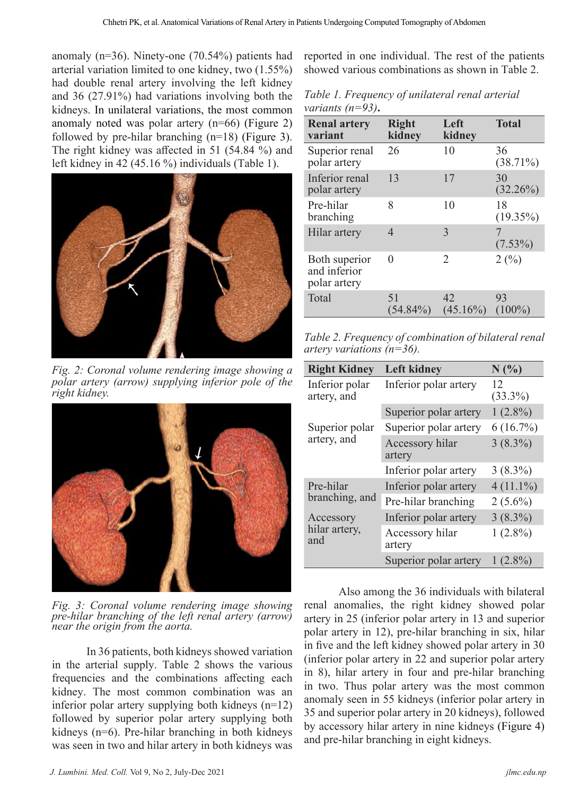anomaly (n=36). Ninety-one (70.54%) patients had arterial variation limited to one kidney, two (1.55%) had double renal artery involving the left kidney and 36 (27.91%) had variations involving both the kidneys. In unilateral variations, the most common anomaly noted was polar artery (n=66) (Figure 2) followed by pre-hilar branching (n=18) (Figure 3). The right kidney was affected in 51 (54.84 %) and left kidney in 42 (45.16 %) individuals (Table 1).



*Fig. 2: Coronal volume rendering image showing a polar artery (arrow) supplying inferior pole of the right kidney.*



*Fig. 3: Coronal volume rendering image showing pre-hilar branching of the left renal artery (arrow) near the origin from the aorta.* 

In 36 patients, both kidneys showed variation in the arterial supply. Table 2 shows the various frequencies and the combinations affecting each kidney. The most common combination was an inferior polar artery supplying both kidneys (n=12) followed by superior polar artery supplying both kidneys (n=6). Pre-hilar branching in both kidneys was seen in two and hilar artery in both kidneys was

reported in one individual. The rest of the patients showed various combinations as shown in Table 2.

*Table 1. Frequency of unilateral renal arterial variants (n=93)***.**

| <b>Renal artery</b><br>variant                | <b>Right</b><br>kidney | Left<br>kidney    | <b>Total</b>      |
|-----------------------------------------------|------------------------|-------------------|-------------------|
| Superior renal<br>polar artery                | 26                     | 10                | 36<br>$(38.71\%)$ |
| Inferior renal<br>polar artery                | 13                     | 17                | 30<br>$(32.26\%)$ |
| Pre-hilar<br>branching                        | 8                      | 10                | 18<br>$(19.35\%)$ |
| Hilar artery                                  | 4                      | 3                 | $(7.53\%)$        |
| Both superior<br>and inferior<br>polar artery | 0                      | 2                 | 2(%)              |
| Total                                         | 51<br>$(54.84\%)$      | 42<br>$(45.16\%)$ | 93<br>$(100\%)$   |

*Table 2. Frequency of combination of bilateral renal artery variations (n=36).*

| <b>Right Kidney</b>               | <b>Left kidney</b>        | N(%)             |
|-----------------------------------|---------------------------|------------------|
| Inferior polar<br>artery, and     | Inferior polar artery     | 12<br>$(33.3\%)$ |
|                                   | Superior polar artery     | $1(2.8\%)$       |
| Superior polar<br>artery, and     | Superior polar artery     | $6(16.7\%)$      |
|                                   | Accessory hilar<br>artery | $3(8.3\%)$       |
|                                   | Inferior polar artery     | $3(8.3\%)$       |
| Pre-hilar<br>branching, and       | Inferior polar artery     | $4(11.1\%)$      |
|                                   | Pre-hilar branching       | $2(5.6\%)$       |
| Accessory<br>hilar artery,<br>and | Inferior polar artery     | $3(8.3\%)$       |
|                                   | Accessory hilar<br>artery | $1(2.8\%)$       |
|                                   | Superior polar artery     | $(2.8\%)$        |

Also among the 36 individuals with bilateral renal anomalies, the right kidney showed polar artery in 25 (inferior polar artery in 13 and superior polar artery in 12), pre-hilar branching in six, hilar in five and the left kidney showed polar artery in 30 (inferior polar artery in 22 and superior polar artery in 8), hilar artery in four and pre-hilar branching in two. Thus polar artery was the most common anomaly seen in 55 kidneys (inferior polar artery in 35 and superior polar artery in 20 kidneys), followed by accessory hilar artery in nine kidneys (Figure 4) and pre-hilar branching in eight kidneys.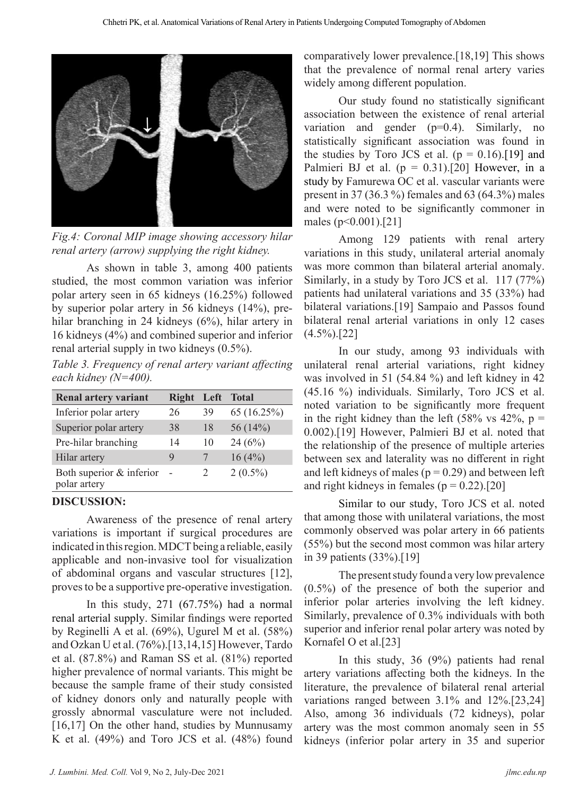

*Fig.4: Coronal MIP image showing accessory hilar renal artery (arrow) supplying the right kidney.* 

As shown in table 3, among 400 patients studied, the most common variation was inferior polar artery seen in 65 kidneys (16.25%) followed by superior polar artery in 56 kidneys (14%), prehilar branching in 24 kidneys (6%), hilar artery in 16 kidneys (4%) and combined superior and inferior renal arterial supply in two kidneys (0.5%).

*Table 3. Frequency of renal artery variant affecting each kidney (N=400).*

| <b>Renal artery variant</b>              | <b>Right</b> | Left                        | <b>Total</b> |
|------------------------------------------|--------------|-----------------------------|--------------|
| Inferior polar artery                    | 26           | 39                          | 65 (16.25%)  |
| Superior polar artery                    | 38           | 18                          | 56 (14%)     |
| Pre-hilar branching                      | 14           | 10                          | 24(6%)       |
| Hilar artery                             | 9            |                             | 16(4%)       |
| Both superior & inferior<br>polar artery |              | $\mathcal{D}_{\mathcal{L}}$ | $2(0.5\%)$   |

#### **DISCUSSION:**

Awareness of the presence of renal artery variations is important if surgical procedures are indicated in this region. MDCT being a reliable, easily applicable and non-invasive tool for visualization of abdominal organs and vascular structures [12], proves to be a supportive pre-operative investigation.

In this study, 271 (67.75%) had a normal renal arterial supply. Similar findings were reported by Reginelli A et al. (69%), Ugurel M et al. (58%) and Ozkan U et al. (76%).[13,14,15] However, Tardo et al. (87.8%) and Raman SS et al. (81%) reported higher prevalence of normal variants. This might be because the sample frame of their study consisted of kidney donors only and naturally people with grossly abnormal vasculature were not included. [16,17] On the other hand, studies by Munnusamy K et al. (49%) and Toro JCS et al. (48%) found comparatively lower prevalence.[18,19] This shows that the prevalence of normal renal artery varies widely among different population.

Our study found no statistically significant association between the existence of renal arterial variation and gender (p=0.4). Similarly, no statistically significant association was found in the studies by Toro JCS et al.  $(p = 0.16)$ . [19] and Palmieri BJ et al.  $(p = 0.31)$ .[20] However, in a study by Famurewa OC et al. vascular variants were present in 37 (36.3 %) females and 63 (64.3%) males and were noted to be significantly commoner in males (p<0.001).[21]

Among 129 patients with renal artery variations in this study, unilateral arterial anomaly was more common than bilateral arterial anomaly. Similarly, in a study by Toro JCS et al. 117 (77%) patients had unilateral variations and 35 (33%) had bilateral variations.[19] Sampaio and Passos found bilateral renal arterial variations in only 12 cases  $(4.5\%)$ .[22]

In our study, among 93 individuals with unilateral renal arterial variations, right kidney was involved in 51 (54.84 %) and left kidney in 42 (45.16 %) individuals. Similarly, Toro JCS et al. noted variation to be significantly more frequent in the right kidney than the left  $(58\% \text{ vs } 42\%, \text{ p} =$ 0.002).[19] However, Palmieri BJ et al. noted that the relationship of the presence of multiple arteries between sex and laterality was no different in right and left kidneys of males ( $p = 0.29$ ) and between left and right kidneys in females ( $p = 0.22$ ).[20]

Similar to our study, Toro JCS et al. noted that among those with unilateral variations, the most commonly observed was polar artery in 66 patients (55%) but the second most common was hilar artery in 39 patients (33%).[19]

The present study found a very low prevalence (0.5%) of the presence of both the superior and inferior polar arteries involving the left kidney. Similarly, prevalence of 0.3% individuals with both superior and inferior renal polar artery was noted by Kornafel O et al.[23]

In this study, 36 (9%) patients had renal artery variations affecting both the kidneys. In the literature, the prevalence of bilateral renal arterial variations ranged between 3.1% and 12%.[23,24] Also, among 36 individuals (72 kidneys), polar artery was the most common anomaly seen in 55 kidneys (inferior polar artery in 35 and superior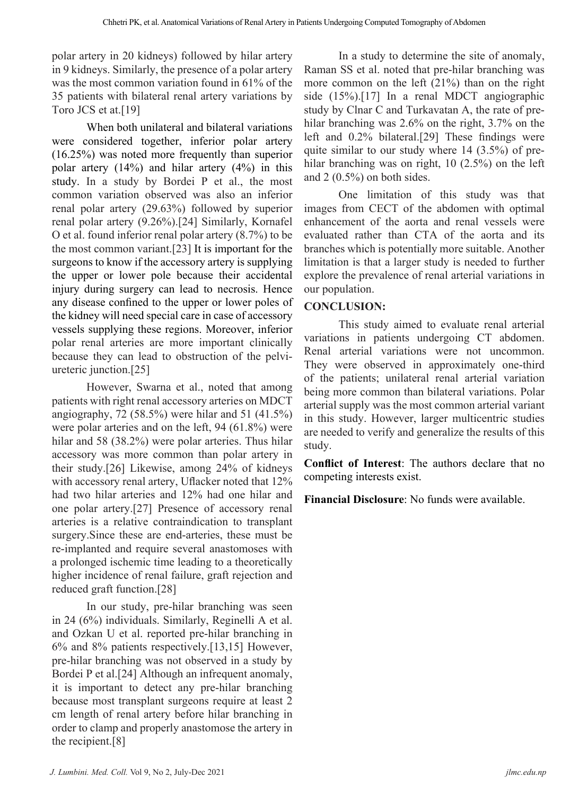polar artery in 20 kidneys) followed by hilar artery in 9 kidneys. Similarly, the presence of a polar artery was the most common variation found in 61% of the 35 patients with bilateral renal artery variations by Toro JCS et at.[19]

When both unilateral and bilateral variations were considered together, inferior polar artery (16.25%) was noted more frequently than superior polar artery (14%) and hilar artery (4%) in this study. In a study by Bordei P et al., the most common variation observed was also an inferior renal polar artery (29.63%) followed by superior renal polar artery (9.26%).[24] Similarly, Kornafel O et al. found inferior renal polar artery (8.7%) to be the most common variant.[23] It is important for the surgeons to know if the accessory artery is supplying the upper or lower pole because their accidental injury during surgery can lead to necrosis. Hence any disease confined to the upper or lower poles of the kidney will need special care in case of accessory vessels supplying these regions. Moreover, inferior polar renal arteries are more important clinically because they can lead to obstruction of the pelviureteric junction.[25]

However, Swarna et al., noted that among patients with right renal accessory arteries on MDCT angiography, 72 (58.5%) were hilar and 51 (41.5%) were polar arteries and on the left, 94 (61.8%) were hilar and 58 (38.2%) were polar arteries. Thus hilar accessory was more common than polar artery in their study.[26] Likewise, among 24% of kidneys with accessory renal artery, Uflacker noted that 12% had two hilar arteries and 12% had one hilar and one polar artery.[27] Presence of accessory renal arteries is a relative contraindication to transplant surgery.Since these are end-arteries, these must be re-implanted and require several anastomoses with a prolonged ischemic time leading to a theoretically higher incidence of renal failure, graft rejection and reduced graft function.[28]

In our study, pre-hilar branching was seen in 24 (6%) individuals. Similarly, Reginelli A et al. and Ozkan U et al. reported pre-hilar branching in 6% and 8% patients respectively.[13,15] However, pre-hilar branching was not observed in a study by Bordei P et al.[24] Although an infrequent anomaly, it is important to detect any pre-hilar branching because most transplant surgeons require at least 2 cm length of renal artery before hilar branching in order to clamp and properly anastomose the artery in the recipient.[8]

In a study to determine the site of anomaly, Raman SS et al. noted that pre-hilar branching was more common on the left (21%) than on the right side (15%).[17] In a renal MDCT angiographic study by Clnar C and Turkavatan A, the rate of prehilar branching was 2.6% on the right, 3.7% on the left and 0.2% bilateral.[29] These findings were quite similar to our study where 14 (3.5%) of prehilar branching was on right, 10 (2.5%) on the left and 2 (0.5%) on both sides.

One limitation of this study was that images from CECT of the abdomen with optimal enhancement of the aorta and renal vessels were evaluated rather than CTA of the aorta and its branches which is potentially more suitable. Another limitation is that a larger study is needed to further explore the prevalence of renal arterial variations in our population.

### **CONCLUSION:**

This study aimed to evaluate renal arterial variations in patients undergoing CT abdomen. Renal arterial variations were not uncommon. They were observed in approximately one-third of the patients; unilateral renal arterial variation being more common than bilateral variations. Polar arterial supply was the most common arterial variant in this study. However, larger multicentric studies are needed to verify and generalize the results of this study.

**Conflict of Interest**: The authors declare that no competing interests exist.

**Financial Disclosure**: No funds were available.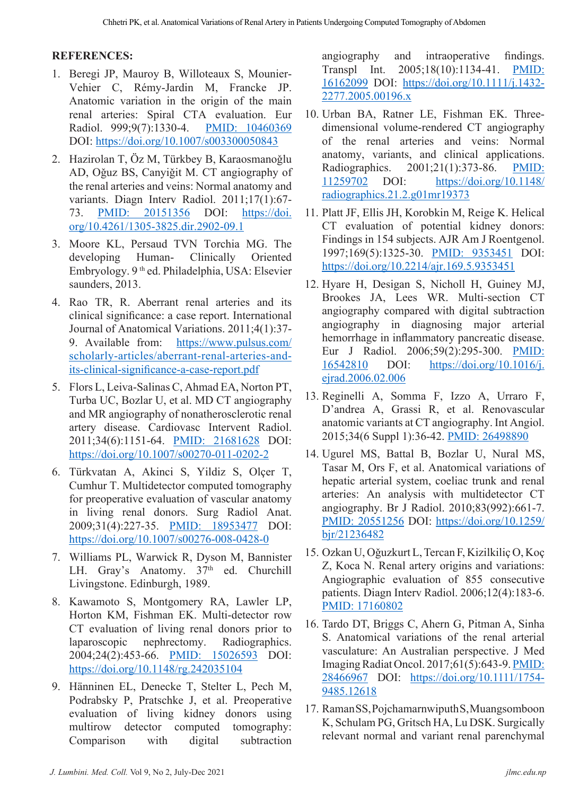#### **REFERENCES:**

- 1. Beregi JP, Mauroy B, Willoteaux S, Mounier-Vehier C, Rémy-Jardin M, Francke JP. Anatomic variation in the origin of the main renal arteries: Spiral CTA evaluation. Eur Radiol. 999;9(7):1330-4. PMID: 10460369 DOI: https://doi.org/10.1007/s003300050843
- 2. Hazirolan T, Öz M, Türkbey B, Karaosmanoǧlu AD, Oǧuz BS, Canyiǧit M. CT angiography of the renal arteries and veins: Normal anatomy and variants. Diagn Interv Radiol. 2011;17(1):67- 73. PMID: 20151356 DOI: https://doi. org/10.4261/1305-3825.dir.2902-09.1
- 3. Moore KL, Persaud TVN Torchia MG. The developing Human- Clinically Oriented Embryology. 9 th ed. Philadelphia, USA: Elsevier saunders, 2013.
- 4. Rao TR, R. Aberrant renal arteries and its clinical significance: a case report. International Journal of Anatomical Variations. 2011;4(1):37- 9. Available from: https://www.pulsus.com/ scholarly-articles/aberrant-renal-arteries-andits-clinical-significance-a-case-report.pdf
- 5. Flors L, Leiva-Salinas C, Ahmad EA, Norton PT, Turba UC, Bozlar U, et al. MD CT angiography and MR angiography of nonatherosclerotic renal artery disease. Cardiovasc Intervent Radiol. 2011;34(6):1151-64. PMID: 21681628 DOI: https://doi.org/10.1007/s00270-011-0202-2
- 6. Türkvatan A, Akinci S, Yildiz S, Olçer T, Cumhur T. Multidetector computed tomography for preoperative evaluation of vascular anatomy in living renal donors. Surg Radiol Anat. 2009;31(4):227-35. PMID: 18953477 DOI: https://doi.org/10.1007/s00276-008-0428-0
- 7. Williams PL, Warwick R, Dyson M, Bannister LH. Gray's Anatomy. 37<sup>th</sup> ed. Churchill Livingstone. Edinburgh, 1989.
- 8. Kawamoto S, Montgomery RA, Lawler LP, Horton KM, Fishman EK. Multi-detector row CT evaluation of living renal donors prior to laparoscopic nephrectomy. Radiographics. 2004;24(2):453-66. PMID: 15026593 DOI: https://doi.org/10.1148/rg.242035104
- 9. Hänninen EL, Denecke T, Stelter L, Pech M, Podrabsky P, Pratschke J, et al. Preoperative evaluation of living kidney donors using multirow detector computed tomography: Comparison with digital subtraction

angiography and intraoperative findings. Transpl Int. 2005;18(10):1134-41. PMID: 16162099 DOI: https://doi.org/10.1111/j.1432- 2277.2005.00196.x

- 10. Urban BA, Ratner LE, Fishman EK. Threedimensional volume-rendered CT angiography of the renal arteries and veins: Normal anatomy, variants, and clinical applications. Radiographics. 2001;21(1):373-86. PMID:<br>11259702 DOI: https://doi.org/10.1148/ DOI: https://doi.org/10.1148/ radiographics.21.2.g01mr19373
- 11. Platt JF, Ellis JH, Korobkin M, Reige K. Helical CT evaluation of potential kidney donors: Findings in 154 subjects. AJR Am J Roentgenol. 1997;169(5):1325-30. PMID: 9353451 DOI: https://doi.org/10.2214/ajr.169.5.9353451
- 12. Hyare H, Desigan S, Nicholl H, Guiney MJ, Brookes JA, Lees WR. Multi-section CT angiography compared with digital subtraction angiography in diagnosing major arterial hemorrhage in inflammatory pancreatic disease. Eur J Radiol. 2006;59(2):295-300. PMID: 16542810 DOI: https://doi.org/10.1016/j. ejrad.2006.02.006
- 13. Reginelli A, Somma F, Izzo A, Urraro F, D'andrea A, Grassi R, et al. Renovascular anatomic variants at CT angiography. Int Angiol. 2015;34(6 Suppl 1):36-42. PMID: 26498890
- 14. Ugurel MS, Battal B, Bozlar U, Nural MS, Tasar M, Ors F, et al. Anatomical variations of hepatic arterial system, coeliac trunk and renal arteries: An analysis with multidetector CT angiography. Br J Radiol. 2010;83(992):661-7. PMID: 20551256 DOI: https://doi.org/10.1259/ bjr/21236482
- 15. Ozkan U, Oǧuzkurt L, Tercan F, Kizilkiliç O, Koç Z, Koca N. Renal artery origins and variations: Angiographic evaluation of 855 consecutive patients. Diagn Interv Radiol. 2006;12(4):183-6. PMID: 17160802
- 16. Tardo DT, Briggs C, Ahern G, Pitman A, Sinha S. Anatomical variations of the renal arterial vasculature: An Australian perspective. J Med Imaging Radiat Oncol. 2017;61(5):643-9. PMID: 28466967 DOI: https://doi.org/10.1111/1754- 9485.12618
- 17. Raman SS, Pojchamarnwiputh S, Muangsomboon K, Schulam PG, Gritsch HA, Lu DSK. Surgically relevant normal and variant renal parenchymal